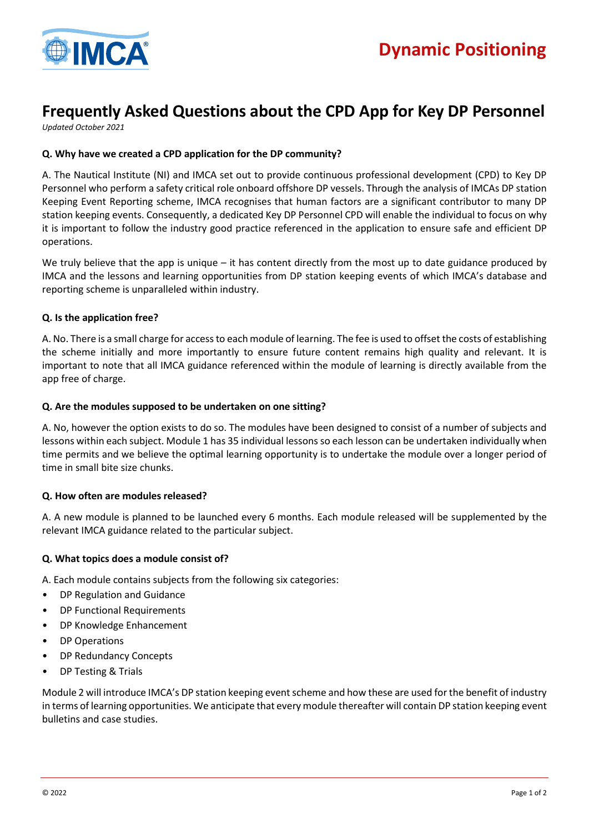

# **Frequently Asked Questions about the CPD App for Key DP Personnel**

*Updated October 2021*

# **Q. Why have we created a CPD application for the DP community?**

A. The Nautical Institute (NI) and IMCA set out to provide continuous professional development (CPD) to Key DP Personnel who perform a safety critical role onboard offshore DP vessels. Through the analysis of IMCAs DP station Keeping Event Reporting scheme, IMCA recognises that human factors are a significant contributor to many DP station keeping events. Consequently, a dedicated Key DP Personnel CPD will enable the individual to focus on why it is important to follow the industry good practice referenced in the application to ensure safe and efficient DP operations.

We truly believe that the app is unique – it has content directly from the most up to date guidance produced by IMCA and the lessons and learning opportunities from DP station keeping events of which IMCA's database and reporting scheme is unparalleled within industry.

# **Q. Is the application free?**

A. No. There is a small charge for access to each module of learning. The fee is used to offset the costs of establishing the scheme initially and more importantly to ensure future content remains high quality and relevant. It is important to note that all IMCA guidance referenced within the module of learning is directly available from the app free of charge.

## **Q. Are the modules supposed to be undertaken on one sitting?**

A. No, however the option exists to do so. The modules have been designed to consist of a number of subjects and lessons within each subject. Module 1 has 35 individual lessons so each lesson can be undertaken individually when time permits and we believe the optimal learning opportunity is to undertake the module over a longer period of time in small bite size chunks.

## **Q. How often are modules released?**

A. A new module is planned to be launched every 6 months. Each module released will be supplemented by the relevant IMCA guidance related to the particular subject.

## **Q. What topics does a module consist of?**

A. Each module contains subjects from the following six categories:

- DP Regulation and Guidance
- DP Functional Requirements
- DP Knowledge Enhancement
- DP Operations
- DP Redundancy Concepts
- DP Testing & Trials

Module 2 will introduce IMCA's DP station keeping event scheme and how these are used for the benefit of industry in terms of learning opportunities. We anticipate that every module thereafter will contain DP station keeping event bulletins and case studies.